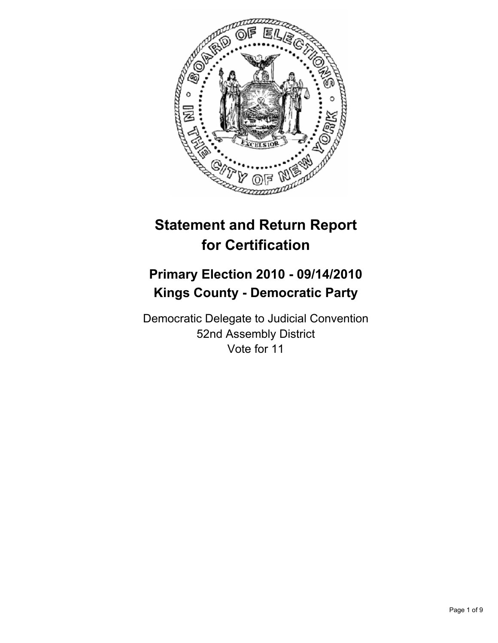

# **Statement and Return Report for Certification**

## **Primary Election 2010 - 09/14/2010 Kings County - Democratic Party**

Democratic Delegate to Judicial Convention 52nd Assembly District Vote for 11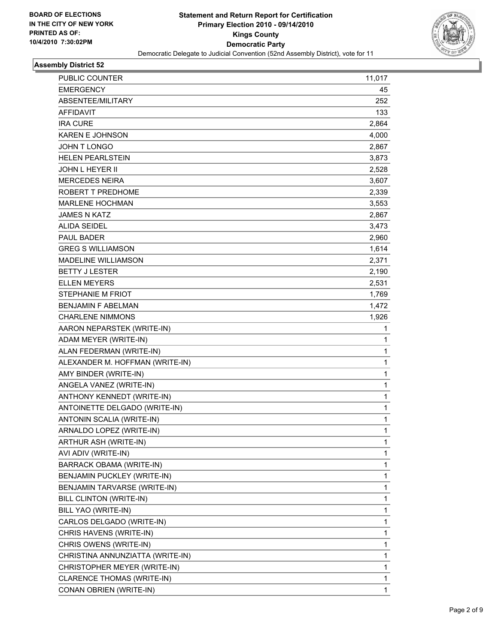

| PUBLIC COUNTER                   | 11,017       |
|----------------------------------|--------------|
| <b>EMERGENCY</b>                 | 45           |
| ABSENTEE/MILITARY                | 252          |
| <b>AFFIDAVIT</b>                 | 133          |
| <b>IRA CURE</b>                  | 2,864        |
| <b>KAREN E JOHNSON</b>           | 4,000        |
| JOHN T LONGO                     | 2,867        |
| <b>HELEN PEARLSTEIN</b>          | 3,873        |
| <b>JOHN L HEYER II</b>           | 2,528        |
| <b>MERCEDES NEIRA</b>            | 3,607        |
| ROBERT T PREDHOME                | 2,339        |
| <b>MARLENE HOCHMAN</b>           | 3,553        |
| <b>JAMES N KATZ</b>              | 2,867        |
| <b>ALIDA SEIDEL</b>              | 3,473        |
| PAUL BADER                       | 2,960        |
| <b>GREG S WILLIAMSON</b>         | 1,614        |
| <b>MADELINE WILLIAMSON</b>       | 2,371        |
| <b>BETTY J LESTER</b>            | 2,190        |
| <b>ELLEN MEYERS</b>              | 2,531        |
| <b>STEPHANIE M FRIOT</b>         | 1,769        |
| <b>BENJAMIN F ABELMAN</b>        | 1,472        |
| <b>CHARLENE NIMMONS</b>          | 1,926        |
| AARON NEPARSTEK (WRITE-IN)       | 1            |
| ADAM MEYER (WRITE-IN)            | 1            |
| ALAN FEDERMAN (WRITE-IN)         | 1            |
| ALEXANDER M. HOFFMAN (WRITE-IN)  | $\mathbf{1}$ |
| AMY BINDER (WRITE-IN)            | 1            |
| ANGELA VANEZ (WRITE-IN)          | 1            |
| ANTHONY KENNEDT (WRITE-IN)       | $\mathbf{1}$ |
| ANTOINETTE DELGADO (WRITE-IN)    | 1            |
| ANTONIN SCALIA (WRITE-IN)        | 1            |
| ARNALDO LOPEZ (WRITE-IN)         | $\mathbf{1}$ |
| ARTHUR ASH (WRITE-IN)            | 1            |
| AVI ADIV (WRITE-IN)              | 1            |
| <b>BARRACK OBAMA (WRITE-IN)</b>  | 1            |
| BENJAMIN PUCKLEY (WRITE-IN)      | 1            |
| BENJAMIN TARVARSE (WRITE-IN)     | 1            |
| BILL CLINTON (WRITE-IN)          | 1            |
| BILL YAO (WRITE-IN)              | 1            |
| CARLOS DELGADO (WRITE-IN)        | 1            |
| CHRIS HAVENS (WRITE-IN)          | 1            |
| CHRIS OWENS (WRITE-IN)           | 1            |
| CHRISTINA ANNUNZIATTA (WRITE-IN) | 1            |
| CHRISTOPHER MEYER (WRITE-IN)     | 1            |
| CLARENCE THOMAS (WRITE-IN)       | 1            |
| CONAN OBRIEN (WRITE-IN)          | 1            |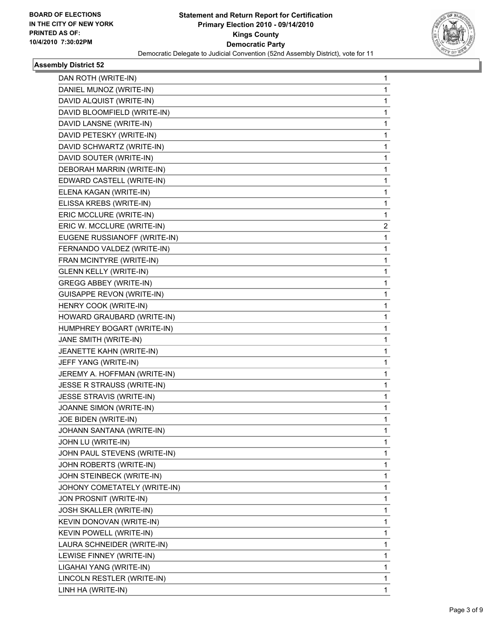

| DAN ROTH (WRITE-IN)              | 1                       |
|----------------------------------|-------------------------|
| DANIEL MUNOZ (WRITE-IN)          | 1                       |
| DAVID ALQUIST (WRITE-IN)         | 1                       |
| DAVID BLOOMFIELD (WRITE-IN)      | 1                       |
| DAVID LANSNE (WRITE-IN)          | 1                       |
| DAVID PETESKY (WRITE-IN)         | 1                       |
| DAVID SCHWARTZ (WRITE-IN)        | 1                       |
| DAVID SOUTER (WRITE-IN)          | 1                       |
| DEBORAH MARRIN (WRITE-IN)        | 1                       |
| EDWARD CASTELL (WRITE-IN)        | 1                       |
| ELENA KAGAN (WRITE-IN)           | 1                       |
| ELISSA KREBS (WRITE-IN)          | 1                       |
| ERIC MCCLURE (WRITE-IN)          | 1                       |
| ERIC W. MCCLURE (WRITE-IN)       | $\overline{\mathbf{c}}$ |
| EUGENE RUSSIANOFF (WRITE-IN)     | 1                       |
| FERNANDO VALDEZ (WRITE-IN)       | 1                       |
| FRAN MCINTYRE (WRITE-IN)         | 1                       |
| <b>GLENN KELLY (WRITE-IN)</b>    | 1                       |
| <b>GREGG ABBEY (WRITE-IN)</b>    | 1                       |
| <b>GUISAPPE REVON (WRITE-IN)</b> | 1                       |
| HENRY COOK (WRITE-IN)            | 1                       |
| HOWARD GRAUBARD (WRITE-IN)       | 1                       |
| HUMPHREY BOGART (WRITE-IN)       | 1                       |
| JANE SMITH (WRITE-IN)            | 1                       |
| JEANETTE KAHN (WRITE-IN)         | 1                       |
| JEFF YANG (WRITE-IN)             | 1                       |
| JEREMY A. HOFFMAN (WRITE-IN)     | 1                       |
| JESSE R STRAUSS (WRITE-IN)       | 1                       |
| JESSE STRAVIS (WRITE-IN)         | 1                       |
| JOANNE SIMON (WRITE-IN)          | 1                       |
| JOE BIDEN (WRITE-IN)             | 1                       |
| JOHANN SANTANA (WRITE-IN)        | $\mathbf{1}$            |
| JOHN LU (WRITE-IN)               | 1                       |
| JOHN PAUL STEVENS (WRITE-IN)     | 1                       |
| JOHN ROBERTS (WRITE-IN)          | 1                       |
| JOHN STEINBECK (WRITE-IN)        | 1                       |
| JOHONY COMETATELY (WRITE-IN)     | 1                       |
| JON PROSNIT (WRITE-IN)           | 1                       |
| JOSH SKALLER (WRITE-IN)          | 1                       |
| KEVIN DONOVAN (WRITE-IN)         | 1                       |
| KEVIN POWELL (WRITE-IN)          | 1                       |
| LAURA SCHNEIDER (WRITE-IN)       | 1                       |
|                                  |                         |
| LEWISE FINNEY (WRITE-IN)         | 1                       |
| LIGAHAI YANG (WRITE-IN)          | 1                       |
| LINCOLN RESTLER (WRITE-IN)       | 1                       |
| LINH HA (WRITE-IN)               | 1                       |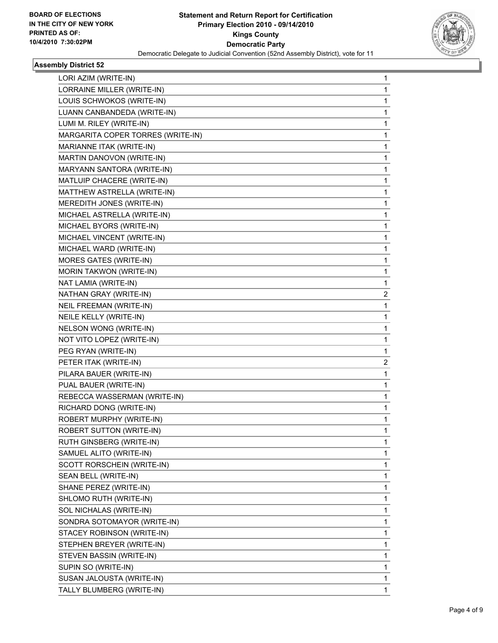

| LORI AZIM (WRITE-IN)              | 1            |
|-----------------------------------|--------------|
| LORRAINE MILLER (WRITE-IN)        | $\mathbf{1}$ |
| LOUIS SCHWOKOS (WRITE-IN)         | 1            |
| LUANN CANBANDEDA (WRITE-IN)       | 1            |
| LUMI M. RILEY (WRITE-IN)          | $\mathbf{1}$ |
| MARGARITA COPER TORRES (WRITE-IN) | 1            |
| MARIANNE ITAK (WRITE-IN)          | 1            |
| MARTIN DANOVON (WRITE-IN)         | $\mathbf{1}$ |
| MARYANN SANTORA (WRITE-IN)        | 1            |
| MATLUIP CHACERE (WRITE-IN)        | 1            |
| MATTHEW ASTRELLA (WRITE-IN)       | 1            |
| MEREDITH JONES (WRITE-IN)         | 1            |
| MICHAEL ASTRELLA (WRITE-IN)       | 1            |
| MICHAEL BYORS (WRITE-IN)          | $\mathbf{1}$ |
| MICHAEL VINCENT (WRITE-IN)        | 1            |
| MICHAEL WARD (WRITE-IN)           | 1            |
| <b>MORES GATES (WRITE-IN)</b>     | 1            |
| MORIN TAKWON (WRITE-IN)           | 1            |
| NAT LAMIA (WRITE-IN)              | 1            |
| NATHAN GRAY (WRITE-IN)            | 2            |
| NEIL FREEMAN (WRITE-IN)           | 1            |
| NEILE KELLY (WRITE-IN)            | 1            |
| NELSON WONG (WRITE-IN)            | 1            |
| NOT VITO LOPEZ (WRITE-IN)         | 1            |
| PEG RYAN (WRITE-IN)               | 1            |
| PETER ITAK (WRITE-IN)             | 2            |
| PILARA BAUER (WRITE-IN)           | 1            |
| PUAL BAUER (WRITE-IN)             | 1            |
| REBECCA WASSERMAN (WRITE-IN)      | 1            |
| RICHARD DONG (WRITE-IN)           | 1            |
| ROBERT MURPHY (WRITE-IN)          | 1            |
| ROBERT SUTTON (WRITE-IN)          | $\mathbf{1}$ |
| RUTH GINSBERG (WRITE-IN)          | 1            |
| SAMUEL ALITO (WRITE-IN)           | 1            |
| SCOTT RORSCHEIN (WRITE-IN)        | $\mathbf{1}$ |
| SEAN BELL (WRITE-IN)              | 1            |
| SHANE PEREZ (WRITE-IN)            | 1            |
| SHLOMO RUTH (WRITE-IN)            | 1            |
| SOL NICHALAS (WRITE-IN)           | 1            |
| SONDRA SOTOMAYOR (WRITE-IN)       | 1            |
| STACEY ROBINSON (WRITE-IN)        | $\mathbf{1}$ |
| STEPHEN BREYER (WRITE-IN)         | 1            |
| STEVEN BASSIN (WRITE-IN)          | 1            |
| SUPIN SO (WRITE-IN)               | 1            |
| SUSAN JALOUSTA (WRITE-IN)         | 1            |
| TALLY BLUMBERG (WRITE-IN)         | 1            |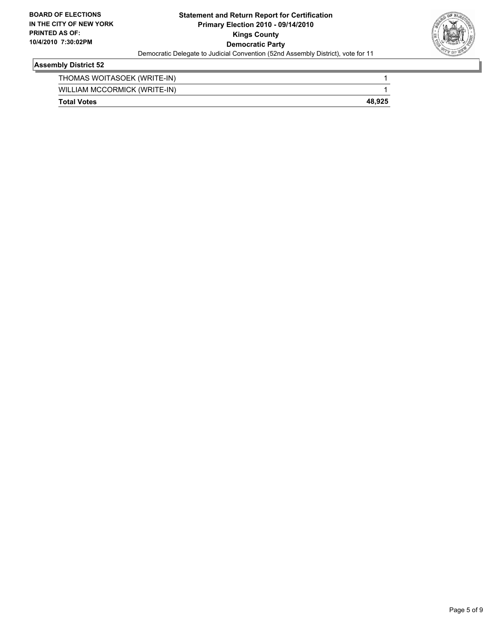

| <b>Total Votes</b>           | 48.925 |
|------------------------------|--------|
| WILLIAM MCCORMICK (WRITE-IN) |        |
| THOMAS WOITASOEK (WRITE-IN)  |        |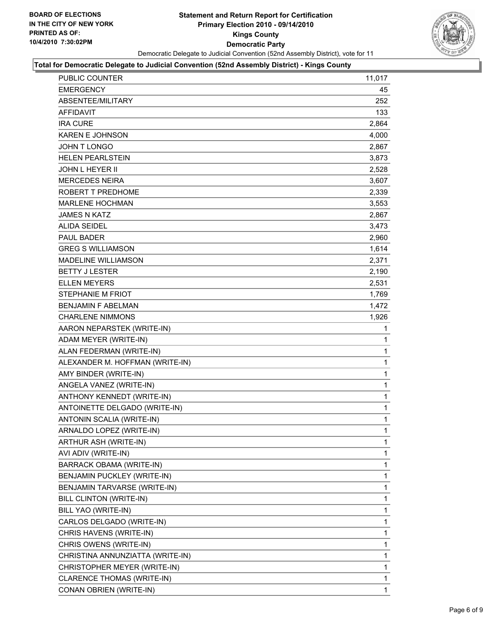

#### **Total for Democratic Delegate to Judicial Convention (52nd Assembly District) - Kings County**

| PUBLIC COUNTER                   | 11,017       |
|----------------------------------|--------------|
| <b>EMERGENCY</b>                 | 45           |
| ABSENTEE/MILITARY                | 252          |
| <b>AFFIDAVIT</b>                 | 133          |
| <b>IRA CURE</b>                  | 2,864        |
| <b>KAREN E JOHNSON</b>           | 4,000        |
| JOHN T LONGO                     | 2,867        |
| <b>HELEN PEARLSTEIN</b>          | 3,873        |
| <b>JOHN L HEYER II</b>           | 2,528        |
| <b>MERCEDES NEIRA</b>            | 3,607        |
| ROBERT T PREDHOME                | 2,339        |
| <b>MARLENE HOCHMAN</b>           | 3,553        |
| <b>JAMES N KATZ</b>              | 2,867        |
| ALIDA SEIDEL                     | 3,473        |
| <b>PAUL BADER</b>                | 2,960        |
| <b>GREG S WILLIAMSON</b>         | 1,614        |
| <b>MADELINE WILLIAMSON</b>       | 2,371        |
| <b>BETTY J LESTER</b>            | 2,190        |
| <b>ELLEN MEYERS</b>              | 2,531        |
| STEPHANIE M FRIOT                | 1,769        |
| <b>BENJAMIN F ABELMAN</b>        | 1,472        |
| <b>CHARLENE NIMMONS</b>          | 1,926        |
| AARON NEPARSTEK (WRITE-IN)       | 1            |
| ADAM MEYER (WRITE-IN)            | 1            |
| ALAN FEDERMAN (WRITE-IN)         | 1            |
| ALEXANDER M. HOFFMAN (WRITE-IN)  | $\mathbf{1}$ |
| AMY BINDER (WRITE-IN)            | 1            |
| ANGELA VANEZ (WRITE-IN)          | 1            |
| ANTHONY KENNEDT (WRITE-IN)       | $\mathbf{1}$ |
| ANTOINETTE DELGADO (WRITE-IN)    | 1            |
| ANTONIN SCALIA (WRITE-IN)        | 1            |
| ARNALDO LOPEZ (WRITE-IN)         | $\mathbf{1}$ |
| ARTHUR ASH (WRITE-IN)            | 1            |
| AVI ADIV (WRITE-IN)              | 1            |
| BARRACK OBAMA (WRITE-IN)         | 1            |
| BENJAMIN PUCKLEY (WRITE-IN)      | 1            |
| BENJAMIN TARVARSE (WRITE-IN)     | $\mathbf{1}$ |
| BILL CLINTON (WRITE-IN)          | 1            |
| BILL YAO (WRITE-IN)              | 1            |
| CARLOS DELGADO (WRITE-IN)        | 1            |
| CHRIS HAVENS (WRITE-IN)          | $\mathbf{1}$ |
| CHRIS OWENS (WRITE-IN)           | 1            |
| CHRISTINA ANNUNZIATTA (WRITE-IN) | $\mathbf{1}$ |
| CHRISTOPHER MEYER (WRITE-IN)     | 1            |
| CLARENCE THOMAS (WRITE-IN)       | 1            |
| CONAN OBRIEN (WRITE-IN)          | $\mathbf{1}$ |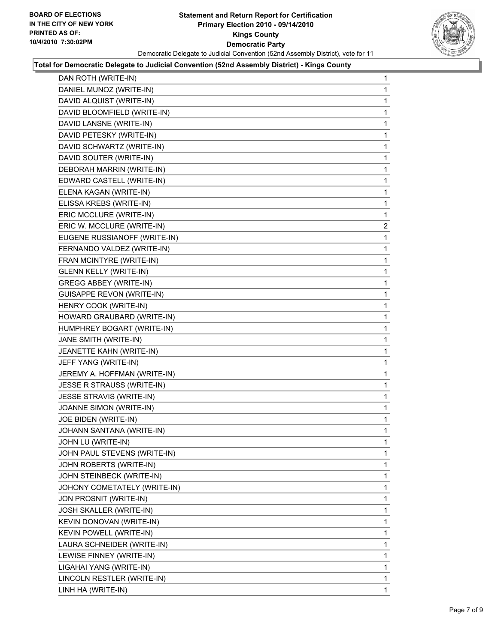

#### **Total for Democratic Delegate to Judicial Convention (52nd Assembly District) - Kings County**

| DAN ROTH (WRITE-IN) | 1                                                                                                                                                                                                                                                                                                                                                                                                                                                                                                                                                                                                                                                                                                                                                                                                                                                                                                                                                                                                                                                                                                                                                                                                                                                                                                                               |
|---------------------|---------------------------------------------------------------------------------------------------------------------------------------------------------------------------------------------------------------------------------------------------------------------------------------------------------------------------------------------------------------------------------------------------------------------------------------------------------------------------------------------------------------------------------------------------------------------------------------------------------------------------------------------------------------------------------------------------------------------------------------------------------------------------------------------------------------------------------------------------------------------------------------------------------------------------------------------------------------------------------------------------------------------------------------------------------------------------------------------------------------------------------------------------------------------------------------------------------------------------------------------------------------------------------------------------------------------------------|
|                     | 1                                                                                                                                                                                                                                                                                                                                                                                                                                                                                                                                                                                                                                                                                                                                                                                                                                                                                                                                                                                                                                                                                                                                                                                                                                                                                                                               |
|                     | 1                                                                                                                                                                                                                                                                                                                                                                                                                                                                                                                                                                                                                                                                                                                                                                                                                                                                                                                                                                                                                                                                                                                                                                                                                                                                                                                               |
|                     | 1                                                                                                                                                                                                                                                                                                                                                                                                                                                                                                                                                                                                                                                                                                                                                                                                                                                                                                                                                                                                                                                                                                                                                                                                                                                                                                                               |
|                     | 1                                                                                                                                                                                                                                                                                                                                                                                                                                                                                                                                                                                                                                                                                                                                                                                                                                                                                                                                                                                                                                                                                                                                                                                                                                                                                                                               |
|                     | 1                                                                                                                                                                                                                                                                                                                                                                                                                                                                                                                                                                                                                                                                                                                                                                                                                                                                                                                                                                                                                                                                                                                                                                                                                                                                                                                               |
|                     | 1                                                                                                                                                                                                                                                                                                                                                                                                                                                                                                                                                                                                                                                                                                                                                                                                                                                                                                                                                                                                                                                                                                                                                                                                                                                                                                                               |
|                     | 1                                                                                                                                                                                                                                                                                                                                                                                                                                                                                                                                                                                                                                                                                                                                                                                                                                                                                                                                                                                                                                                                                                                                                                                                                                                                                                                               |
|                     | 1                                                                                                                                                                                                                                                                                                                                                                                                                                                                                                                                                                                                                                                                                                                                                                                                                                                                                                                                                                                                                                                                                                                                                                                                                                                                                                                               |
|                     | 1                                                                                                                                                                                                                                                                                                                                                                                                                                                                                                                                                                                                                                                                                                                                                                                                                                                                                                                                                                                                                                                                                                                                                                                                                                                                                                                               |
|                     | 1                                                                                                                                                                                                                                                                                                                                                                                                                                                                                                                                                                                                                                                                                                                                                                                                                                                                                                                                                                                                                                                                                                                                                                                                                                                                                                                               |
|                     | 1                                                                                                                                                                                                                                                                                                                                                                                                                                                                                                                                                                                                                                                                                                                                                                                                                                                                                                                                                                                                                                                                                                                                                                                                                                                                                                                               |
|                     | 1                                                                                                                                                                                                                                                                                                                                                                                                                                                                                                                                                                                                                                                                                                                                                                                                                                                                                                                                                                                                                                                                                                                                                                                                                                                                                                                               |
|                     | $\mathbf{2}$                                                                                                                                                                                                                                                                                                                                                                                                                                                                                                                                                                                                                                                                                                                                                                                                                                                                                                                                                                                                                                                                                                                                                                                                                                                                                                                    |
|                     | 1                                                                                                                                                                                                                                                                                                                                                                                                                                                                                                                                                                                                                                                                                                                                                                                                                                                                                                                                                                                                                                                                                                                                                                                                                                                                                                                               |
|                     | 1                                                                                                                                                                                                                                                                                                                                                                                                                                                                                                                                                                                                                                                                                                                                                                                                                                                                                                                                                                                                                                                                                                                                                                                                                                                                                                                               |
|                     | 1                                                                                                                                                                                                                                                                                                                                                                                                                                                                                                                                                                                                                                                                                                                                                                                                                                                                                                                                                                                                                                                                                                                                                                                                                                                                                                                               |
|                     | 1                                                                                                                                                                                                                                                                                                                                                                                                                                                                                                                                                                                                                                                                                                                                                                                                                                                                                                                                                                                                                                                                                                                                                                                                                                                                                                                               |
|                     | 1                                                                                                                                                                                                                                                                                                                                                                                                                                                                                                                                                                                                                                                                                                                                                                                                                                                                                                                                                                                                                                                                                                                                                                                                                                                                                                                               |
|                     | 1                                                                                                                                                                                                                                                                                                                                                                                                                                                                                                                                                                                                                                                                                                                                                                                                                                                                                                                                                                                                                                                                                                                                                                                                                                                                                                                               |
|                     | 1                                                                                                                                                                                                                                                                                                                                                                                                                                                                                                                                                                                                                                                                                                                                                                                                                                                                                                                                                                                                                                                                                                                                                                                                                                                                                                                               |
|                     | 1                                                                                                                                                                                                                                                                                                                                                                                                                                                                                                                                                                                                                                                                                                                                                                                                                                                                                                                                                                                                                                                                                                                                                                                                                                                                                                                               |
|                     | 1                                                                                                                                                                                                                                                                                                                                                                                                                                                                                                                                                                                                                                                                                                                                                                                                                                                                                                                                                                                                                                                                                                                                                                                                                                                                                                                               |
|                     | 1                                                                                                                                                                                                                                                                                                                                                                                                                                                                                                                                                                                                                                                                                                                                                                                                                                                                                                                                                                                                                                                                                                                                                                                                                                                                                                                               |
|                     | 1                                                                                                                                                                                                                                                                                                                                                                                                                                                                                                                                                                                                                                                                                                                                                                                                                                                                                                                                                                                                                                                                                                                                                                                                                                                                                                                               |
|                     | 1                                                                                                                                                                                                                                                                                                                                                                                                                                                                                                                                                                                                                                                                                                                                                                                                                                                                                                                                                                                                                                                                                                                                                                                                                                                                                                                               |
|                     | 1                                                                                                                                                                                                                                                                                                                                                                                                                                                                                                                                                                                                                                                                                                                                                                                                                                                                                                                                                                                                                                                                                                                                                                                                                                                                                                                               |
|                     | 1                                                                                                                                                                                                                                                                                                                                                                                                                                                                                                                                                                                                                                                                                                                                                                                                                                                                                                                                                                                                                                                                                                                                                                                                                                                                                                                               |
|                     | 1                                                                                                                                                                                                                                                                                                                                                                                                                                                                                                                                                                                                                                                                                                                                                                                                                                                                                                                                                                                                                                                                                                                                                                                                                                                                                                                               |
|                     | 1                                                                                                                                                                                                                                                                                                                                                                                                                                                                                                                                                                                                                                                                                                                                                                                                                                                                                                                                                                                                                                                                                                                                                                                                                                                                                                                               |
|                     | 1                                                                                                                                                                                                                                                                                                                                                                                                                                                                                                                                                                                                                                                                                                                                                                                                                                                                                                                                                                                                                                                                                                                                                                                                                                                                                                                               |
|                     | 1                                                                                                                                                                                                                                                                                                                                                                                                                                                                                                                                                                                                                                                                                                                                                                                                                                                                                                                                                                                                                                                                                                                                                                                                                                                                                                                               |
|                     | 1                                                                                                                                                                                                                                                                                                                                                                                                                                                                                                                                                                                                                                                                                                                                                                                                                                                                                                                                                                                                                                                                                                                                                                                                                                                                                                                               |
|                     | 1                                                                                                                                                                                                                                                                                                                                                                                                                                                                                                                                                                                                                                                                                                                                                                                                                                                                                                                                                                                                                                                                                                                                                                                                                                                                                                                               |
|                     | 1                                                                                                                                                                                                                                                                                                                                                                                                                                                                                                                                                                                                                                                                                                                                                                                                                                                                                                                                                                                                                                                                                                                                                                                                                                                                                                                               |
|                     | 1                                                                                                                                                                                                                                                                                                                                                                                                                                                                                                                                                                                                                                                                                                                                                                                                                                                                                                                                                                                                                                                                                                                                                                                                                                                                                                                               |
|                     | 1                                                                                                                                                                                                                                                                                                                                                                                                                                                                                                                                                                                                                                                                                                                                                                                                                                                                                                                                                                                                                                                                                                                                                                                                                                                                                                                               |
|                     | 1                                                                                                                                                                                                                                                                                                                                                                                                                                                                                                                                                                                                                                                                                                                                                                                                                                                                                                                                                                                                                                                                                                                                                                                                                                                                                                                               |
|                     | 1                                                                                                                                                                                                                                                                                                                                                                                                                                                                                                                                                                                                                                                                                                                                                                                                                                                                                                                                                                                                                                                                                                                                                                                                                                                                                                                               |
|                     | 1                                                                                                                                                                                                                                                                                                                                                                                                                                                                                                                                                                                                                                                                                                                                                                                                                                                                                                                                                                                                                                                                                                                                                                                                                                                                                                                               |
|                     | 1                                                                                                                                                                                                                                                                                                                                                                                                                                                                                                                                                                                                                                                                                                                                                                                                                                                                                                                                                                                                                                                                                                                                                                                                                                                                                                                               |
|                     | 1                                                                                                                                                                                                                                                                                                                                                                                                                                                                                                                                                                                                                                                                                                                                                                                                                                                                                                                                                                                                                                                                                                                                                                                                                                                                                                                               |
|                     | 1                                                                                                                                                                                                                                                                                                                                                                                                                                                                                                                                                                                                                                                                                                                                                                                                                                                                                                                                                                                                                                                                                                                                                                                                                                                                                                                               |
|                     | 1                                                                                                                                                                                                                                                                                                                                                                                                                                                                                                                                                                                                                                                                                                                                                                                                                                                                                                                                                                                                                                                                                                                                                                                                                                                                                                                               |
|                     | 1                                                                                                                                                                                                                                                                                                                                                                                                                                                                                                                                                                                                                                                                                                                                                                                                                                                                                                                                                                                                                                                                                                                                                                                                                                                                                                                               |
|                     | $\mathbf{1}$                                                                                                                                                                                                                                                                                                                                                                                                                                                                                                                                                                                                                                                                                                                                                                                                                                                                                                                                                                                                                                                                                                                                                                                                                                                                                                                    |
|                     | DANIEL MUNOZ (WRITE-IN)<br>DAVID ALQUIST (WRITE-IN)<br>DAVID BLOOMFIELD (WRITE-IN)<br>DAVID LANSNE (WRITE-IN)<br>DAVID PETESKY (WRITE-IN)<br>DAVID SCHWARTZ (WRITE-IN)<br>DAVID SOUTER (WRITE-IN)<br>DEBORAH MARRIN (WRITE-IN)<br>EDWARD CASTELL (WRITE-IN)<br>ELENA KAGAN (WRITE-IN)<br>ELISSA KREBS (WRITE-IN)<br>ERIC MCCLURE (WRITE-IN)<br>ERIC W. MCCLURE (WRITE-IN)<br>EUGENE RUSSIANOFF (WRITE-IN)<br>FERNANDO VALDEZ (WRITE-IN)<br>FRAN MCINTYRE (WRITE-IN)<br><b>GLENN KELLY (WRITE-IN)</b><br><b>GREGG ABBEY (WRITE-IN)</b><br><b>GUISAPPE REVON (WRITE-IN)</b><br>HENRY COOK (WRITE-IN)<br>HOWARD GRAUBARD (WRITE-IN)<br>HUMPHREY BOGART (WRITE-IN)<br>JANE SMITH (WRITE-IN)<br>JEANETTE KAHN (WRITE-IN)<br>JEFF YANG (WRITE-IN)<br>JEREMY A. HOFFMAN (WRITE-IN)<br>JESSE R STRAUSS (WRITE-IN)<br>JESSE STRAVIS (WRITE-IN)<br>JOANNE SIMON (WRITE-IN)<br>JOE BIDEN (WRITE-IN)<br>JOHANN SANTANA (WRITE-IN)<br>JOHN LU (WRITE-IN)<br>JOHN PAUL STEVENS (WRITE-IN)<br>JOHN ROBERTS (WRITE-IN)<br>JOHN STEINBECK (WRITE-IN)<br>JOHONY COMETATELY (WRITE-IN)<br>JON PROSNIT (WRITE-IN)<br>JOSH SKALLER (WRITE-IN)<br>KEVIN DONOVAN (WRITE-IN)<br><b>KEVIN POWELL (WRITE-IN)</b><br>LAURA SCHNEIDER (WRITE-IN)<br>LEWISE FINNEY (WRITE-IN)<br>LIGAHAI YANG (WRITE-IN)<br>LINCOLN RESTLER (WRITE-IN)<br>LINH HA (WRITE-IN) |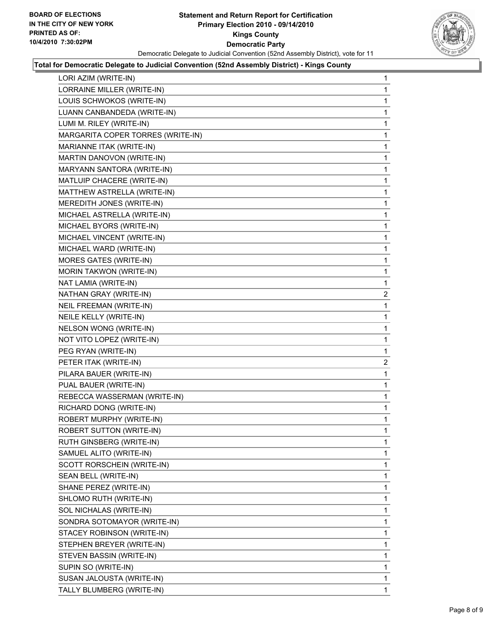

#### **Total for Democratic Delegate to Judicial Convention (52nd Assembly District) - Kings County**

| LORI AZIM (WRITE-IN)              | 1            |
|-----------------------------------|--------------|
| LORRAINE MILLER (WRITE-IN)        | 1            |
| LOUIS SCHWOKOS (WRITE-IN)         | 1            |
| LUANN CANBANDEDA (WRITE-IN)       | 1            |
| LUMI M. RILEY (WRITE-IN)          | 1            |
| MARGARITA COPER TORRES (WRITE-IN) | 1            |
| MARIANNE ITAK (WRITE-IN)          | 1            |
| MARTIN DANOVON (WRITE-IN)         | 1            |
| <b>MARYANN SANTORA (WRITE-IN)</b> | 1            |
| MATLUIP CHACERE (WRITE-IN)        | 1            |
| MATTHEW ASTRELLA (WRITE-IN)       | 1            |
| MEREDITH JONES (WRITE-IN)         | 1            |
| MICHAEL ASTRELLA (WRITE-IN)       | 1            |
| MICHAEL BYORS (WRITE-IN)          | 1            |
| MICHAEL VINCENT (WRITE-IN)        | 1            |
| MICHAEL WARD (WRITE-IN)           | 1            |
| MORES GATES (WRITE-IN)            | 1            |
| <b>MORIN TAKWON (WRITE-IN)</b>    | 1            |
| NAT LAMIA (WRITE-IN)              | 1            |
| NATHAN GRAY (WRITE-IN)            | $\mathbf{2}$ |
| NEIL FREEMAN (WRITE-IN)           | 1            |
| NEILE KELLY (WRITE-IN)            | 1            |
| NELSON WONG (WRITE-IN)            | 1            |
| NOT VITO LOPEZ (WRITE-IN)         | 1            |
| PEG RYAN (WRITE-IN)               | 1            |
| PETER ITAK (WRITE-IN)             | $\mathbf{2}$ |
| PILARA BAUER (WRITE-IN)           | 1            |
| PUAL BAUER (WRITE-IN)             | 1            |
| REBECCA WASSERMAN (WRITE-IN)      | 1            |
| RICHARD DONG (WRITE-IN)           | 1            |
| ROBERT MURPHY (WRITE-IN)          | 1            |
| ROBERT SUTTON (WRITE-IN)          | 1            |
| RUTH GINSBERG (WRITE-IN)          | 1            |
| SAMUEL ALITO (WRITE-IN)           | 1            |
| SCOTT RORSCHEIN (WRITE-IN)        | 1            |
| SEAN BELL (WRITE-IN)              | 1            |
| SHANE PEREZ (WRITE-IN)            | 1            |
| SHLOMO RUTH (WRITE-IN)            | 1            |
| SOL NICHALAS (WRITE-IN)           | 1            |
| SONDRA SOTOMAYOR (WRITE-IN)       | 1            |
| STACEY ROBINSON (WRITE-IN)        | 1            |
| STEPHEN BREYER (WRITE-IN)         | 1            |
| STEVEN BASSIN (WRITE-IN)          | 1            |
| SUPIN SO (WRITE-IN)               | 1            |
| SUSAN JALOUSTA (WRITE-IN)         | 1            |
| TALLY BLUMBERG (WRITE-IN)         | 1            |
|                                   |              |